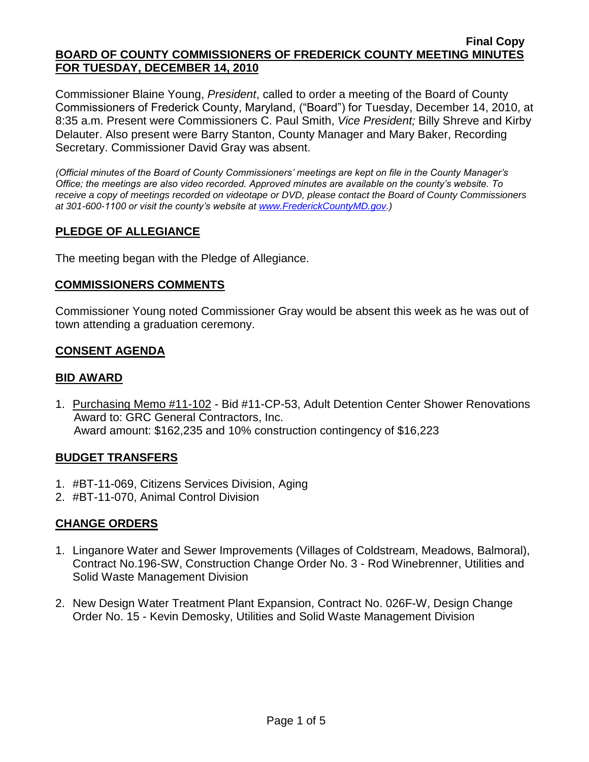Commissioner Blaine Young, *President*, called to order a meeting of the Board of County Commissioners of Frederick County, Maryland, ("Board") for Tuesday, December 14, 2010, at 8:35 a.m. Present were Commissioners C. Paul Smith, *Vice President;* Billy Shreve and Kirby Delauter. Also present were Barry Stanton, County Manager and Mary Baker, Recording Secretary. Commissioner David Gray was absent.

*(Official minutes of the Board of County Commissioners' meetings are kept on file in the County Manager's Office; the meetings are also video recorded. Approved minutes are available on the county's website. To receive a copy of meetings recorded on videotape or DVD, please contact the Board of County Commissioners at 301-600-1100 or visit the county's website at [www.FrederickCountyMD.gov.](http://www.frederickcountymd.gov/))*

# **PLEDGE OF ALLEGIANCE**

The meeting began with the Pledge of Allegiance.

# **COMMISSIONERS COMMENTS**

Commissioner Young noted Commissioner Gray would be absent this week as he was out of town attending a graduation ceremony.

# **CONSENT AGENDA**

# **BID AWARD**

1. Purchasing Memo #11-102 - Bid #11-CP-53, Adult Detention Center Shower Renovations Award to: GRC General Contractors, Inc. Award amount: \$162,235 and 10% construction contingency of \$16,223

# **BUDGET TRANSFERS**

- 1. #BT-11-069, Citizens Services Division, Aging
- 2. #BT-11-070, Animal Control Division

# **CHANGE ORDERS**

- 1. Linganore Water and Sewer Improvements (Villages of Coldstream, Meadows, Balmoral), Contract No.196-SW, Construction Change Order No. 3 - Rod Winebrenner, Utilities and Solid Waste Management Division
- 2. New Design Water Treatment Plant Expansion, Contract No. 026F-W, Design Change Order No. 15 - Kevin Demosky, Utilities and Solid Waste Management Division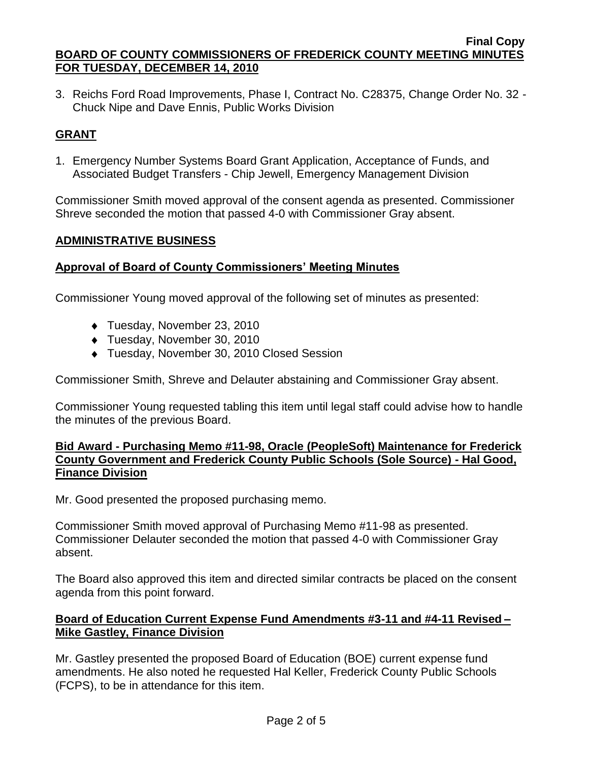3. Reichs Ford Road Improvements, Phase I, Contract No. C28375, Change Order No. 32 - Chuck Nipe and Dave Ennis, Public Works Division

# **GRANT**

1. Emergency Number Systems Board Grant Application, Acceptance of Funds, and Associated Budget Transfers - Chip Jewell, Emergency Management Division

Commissioner Smith moved approval of the consent agenda as presented. Commissioner Shreve seconded the motion that passed 4-0 with Commissioner Gray absent.

# **ADMINISTRATIVE BUSINESS**

# **Approval of Board of County Commissioners' Meeting Minutes**

Commissioner Young moved approval of the following set of minutes as presented:

- ◆ Tuesday, November 23, 2010
- ◆ Tuesday, November 30, 2010
- ◆ Tuesday, November 30, 2010 Closed Session

Commissioner Smith, Shreve and Delauter abstaining and Commissioner Gray absent.

Commissioner Young requested tabling this item until legal staff could advise how to handle the minutes of the previous Board.

### **Bid Award - Purchasing Memo #11-98, Oracle (PeopleSoft) Maintenance for Frederick County Government and Frederick County Public Schools (Sole Source) - Hal Good, Finance Division**

Mr. Good presented the proposed purchasing memo.

Commissioner Smith moved approval of Purchasing Memo #11-98 as presented. Commissioner Delauter seconded the motion that passed 4-0 with Commissioner Gray absent.

The Board also approved this item and directed similar contracts be placed on the consent agenda from this point forward.

# **Board of Education Current Expense Fund Amendments #3-11 and #4-11 Revised – Mike Gastley, Finance Division**

Mr. Gastley presented the proposed Board of Education (BOE) current expense fund amendments. He also noted he requested Hal Keller, Frederick County Public Schools (FCPS), to be in attendance for this item.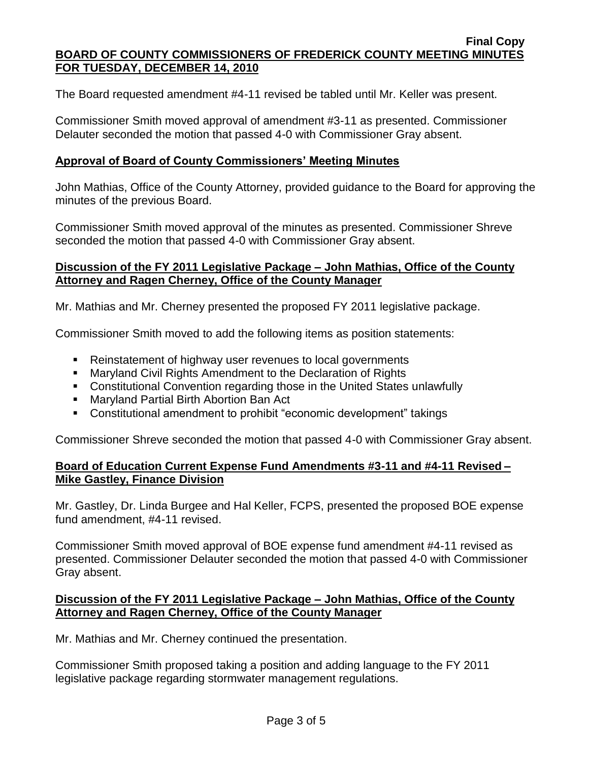The Board requested amendment #4-11 revised be tabled until Mr. Keller was present.

Commissioner Smith moved approval of amendment #3-11 as presented. Commissioner Delauter seconded the motion that passed 4-0 with Commissioner Gray absent.

### **Approval of Board of County Commissioners' Meeting Minutes**

John Mathias, Office of the County Attorney, provided guidance to the Board for approving the minutes of the previous Board.

Commissioner Smith moved approval of the minutes as presented. Commissioner Shreve seconded the motion that passed 4-0 with Commissioner Gray absent.

### **Discussion of the FY 2011 Legislative Package – John Mathias, Office of the County Attorney and Ragen Cherney, Office of the County Manager**

Mr. Mathias and Mr. Cherney presented the proposed FY 2011 legislative package.

Commissioner Smith moved to add the following items as position statements:

- Reinstatement of highway user revenues to local governments
- **Maryland Civil Rights Amendment to the Declaration of Rights**
- Constitutional Convention regarding those in the United States unlawfully
- Maryland Partial Birth Abortion Ban Act
- Constitutional amendment to prohibit "economic development" takings

Commissioner Shreve seconded the motion that passed 4-0 with Commissioner Gray absent.

### **Board of Education Current Expense Fund Amendments #3-11 and #4-11 Revised – Mike Gastley, Finance Division**

Mr. Gastley, Dr. Linda Burgee and Hal Keller, FCPS, presented the proposed BOE expense fund amendment, #4-11 revised.

Commissioner Smith moved approval of BOE expense fund amendment #4-11 revised as presented. Commissioner Delauter seconded the motion that passed 4-0 with Commissioner Gray absent.

### **Discussion of the FY 2011 Legislative Package – John Mathias, Office of the County Attorney and Ragen Cherney, Office of the County Manager**

Mr. Mathias and Mr. Cherney continued the presentation.

Commissioner Smith proposed taking a position and adding language to the FY 2011 legislative package regarding stormwater management regulations.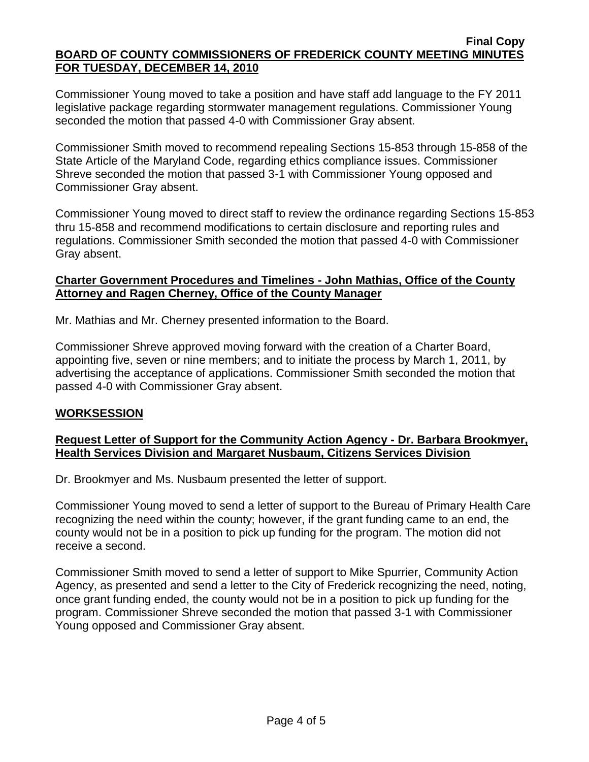Commissioner Young moved to take a position and have staff add language to the FY 2011 legislative package regarding stormwater management regulations. Commissioner Young seconded the motion that passed 4-0 with Commissioner Gray absent.

Commissioner Smith moved to recommend repealing Sections 15-853 through 15-858 of the State Article of the Maryland Code, regarding ethics compliance issues. Commissioner Shreve seconded the motion that passed 3-1 with Commissioner Young opposed and Commissioner Gray absent.

Commissioner Young moved to direct staff to review the ordinance regarding Sections 15-853 thru 15-858 and recommend modifications to certain disclosure and reporting rules and regulations. Commissioner Smith seconded the motion that passed 4-0 with Commissioner Gray absent.

# **Charter Government Procedures and Timelines - John Mathias, Office of the County Attorney and Ragen Cherney, Office of the County Manager**

Mr. Mathias and Mr. Cherney presented information to the Board.

Commissioner Shreve approved moving forward with the creation of a Charter Board, appointing five, seven or nine members; and to initiate the process by March 1, 2011, by advertising the acceptance of applications. Commissioner Smith seconded the motion that passed 4-0 with Commissioner Gray absent.

# **WORKSESSION**

# **Request Letter of Support for the Community Action Agency - Dr. Barbara Brookmyer, Health Services Division and Margaret Nusbaum, Citizens Services Division**

Dr. Brookmyer and Ms. Nusbaum presented the letter of support.

Commissioner Young moved to send a letter of support to the Bureau of Primary Health Care recognizing the need within the county; however, if the grant funding came to an end, the county would not be in a position to pick up funding for the program. The motion did not receive a second.

Commissioner Smith moved to send a letter of support to Mike Spurrier, Community Action Agency, as presented and send a letter to the City of Frederick recognizing the need, noting, once grant funding ended, the county would not be in a position to pick up funding for the program. Commissioner Shreve seconded the motion that passed 3-1 with Commissioner Young opposed and Commissioner Gray absent.